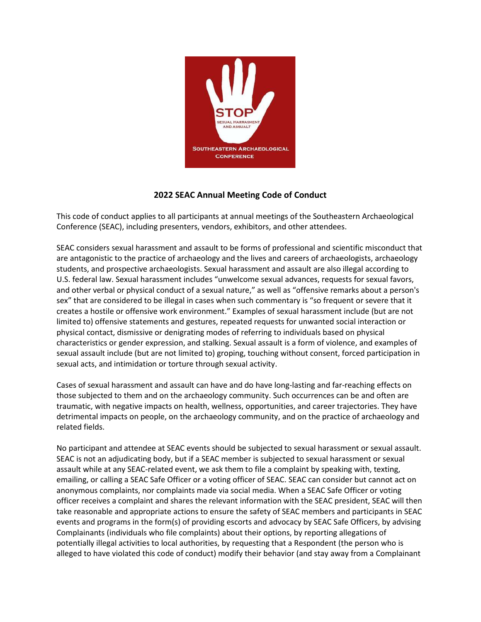

# **2022 SEAC Annual Meeting Code of Conduct**

This code of conduct applies to all participants at annual meetings of the Southeastern Archaeological Conference (SEAC), including presenters, vendors, exhibitors, and other attendees.

SEAC considers sexual harassment and assault to be forms of professional and scientific misconduct that are antagonistic to the practice of archaeology and the lives and careers of archaeologists, archaeology students, and prospective archaeologists. Sexual harassment and assault are also illegal according to U.S. federal law. Sexual harassment includes "unwelcome sexual advances, requests for sexual favors, and other verbal or physical conduct of a sexual nature," as well as "offensive remarks about a person's sex" that are considered to be illegal in cases when such commentary is "so frequent or severe that it creates a hostile or offensive work environment." Examples of sexual harassment include (but are not limited to) offensive statements and gestures, repeated requests for unwanted social interaction or physical contact, dismissive or denigrating modes of referring to individuals based on physical characteristics or gender expression, and stalking. Sexual assault is a form of violence, and examples of sexual assault include (but are not limited to) groping, touching without consent, forced participation in sexual acts, and intimidation or torture through sexual activity.

Cases of sexual harassment and assault can have and do have long-lasting and far-reaching effects on those subjected to them and on the archaeology community. Such occurrences can be and often are traumatic, with negative impacts on health, wellness, opportunities, and career trajectories. They have detrimental impacts on people, on the archaeology community, and on the practice of archaeology and related fields.

No participant and attendee at SEAC events should be subjected to sexual harassment or sexual assault. SEAC is not an adjudicating body, but if a SEAC member is subjected to sexual harassment or sexual assault while at any SEAC-related event, we ask them to file a complaint by speaking with, texting, emailing, or calling a SEAC Safe Officer or a voting officer of SEAC. SEAC can consider but cannot act on anonymous complaints, nor complaints made via social media. When a SEAC Safe Officer or voting officer receives a complaint and shares the relevant information with the SEAC president, SEAC will then take reasonable and appropriate actions to ensure the safety of SEAC members and participants in SEAC events and programs in the form(s) of providing escorts and advocacy by SEAC Safe Officers, by advising Complainants (individuals who file complaints) about their options, by reporting allegations of potentially illegal activities to local authorities, by requesting that a Respondent (the person who is alleged to have violated this code of conduct) modify their behavior (and stay away from a Complainant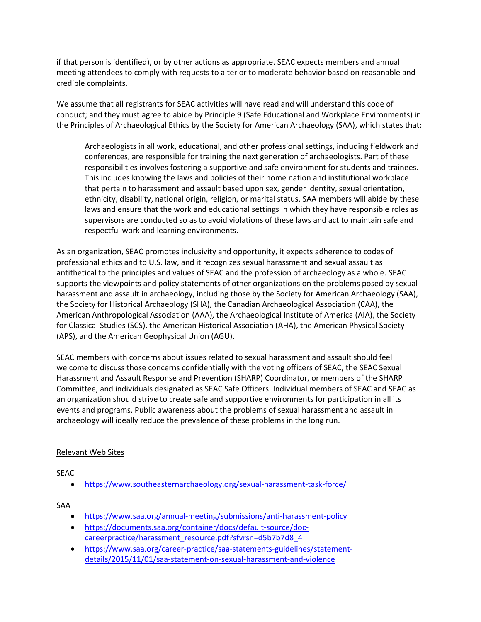if that person is identified), or by other actions as appropriate. SEAC expects members and annual meeting attendees to comply with requests to alter or to moderate behavior based on reasonable and credible complaints.

We assume that all registrants for SEAC activities will have read and will understand this code of conduct; and they must agree to abide by Principle 9 (Safe Educational and Workplace Environments) in the Principles of Archaeological Ethics by the Society for American Archaeology (SAA), which states that:

Archaeologists in all work, educational, and other professional settings, including fieldwork and conferences, are responsible for training the next generation of archaeologists. Part of these responsibilities involves fostering a supportive and safe environment for students and trainees. This includes knowing the laws and policies of their home nation and institutional workplace that pertain to harassment and assault based upon sex, gender identity, sexual orientation, ethnicity, disability, national origin, religion, or marital status. SAA members will abide by these laws and ensure that the work and educational settings in which they have responsible roles as supervisors are conducted so as to avoid violations of these laws and act to maintain safe and respectful work and learning environments.

As an organization, SEAC promotes inclusivity and opportunity, it expects adherence to codes of professional ethics and to U.S. law, and it recognizes sexual harassment and sexual assault as antithetical to the principles and values of SEAC and the profession of archaeology as a whole. SEAC supports the viewpoints and policy statements of other organizations on the problems posed by sexual harassment and assault in archaeology, including those by the Society for American Archaeology (SAA), the Society for Historical Archaeology (SHA), the Canadian Archaeological Association (CAA), the American Anthropological Association (AAA), the Archaeological Institute of America (AIA), the Society for Classical Studies (SCS), the American Historical Association (AHA), the American Physical Society (APS), and the American Geophysical Union (AGU).

SEAC members with concerns about issues related to sexual harassment and assault should feel welcome to discuss those concerns confidentially with the voting officers of SEAC, the SEAC Sexual Harassment and Assault Response and Prevention (SHARP) Coordinator, or members of the SHARP Committee, and individuals designated as SEAC Safe Officers. Individual members of SEAC and SEAC as an organization should strive to create safe and supportive environments for participation in all its events and programs. Public awareness about the problems of sexual harassment and assault in archaeology will ideally reduce the prevalence of these problems in the long run.

#### Relevant Web Sites

SEAC

• <https://www.southeasternarchaeology.org/sexual-harassment-task-force/>

SAA

- <https://www.saa.org/annual-meeting/submissions/anti-harassment-policy>
- [https://documents.saa.org/container/docs/default-source/doc](https://documents.saa.org/container/docs/default-source/doc-careerpractice/harassment_resource.pdf?sfvrsn=d5b7b7d8_4)[careerpractice/harassment\\_resource.pdf?sfvrsn=d5b7b7d8\\_4](https://documents.saa.org/container/docs/default-source/doc-careerpractice/harassment_resource.pdf?sfvrsn=d5b7b7d8_4)
- [https://www.saa.org/career-practice/saa-statements-guidelines/statement](https://www.saa.org/career-practice/saa-statements-guidelines/statement-details/2015/11/01/saa-statement-on-sexual-harassment-and-violence)[details/2015/11/01/saa-statement-on-sexual-harassment-and-violence](https://www.saa.org/career-practice/saa-statements-guidelines/statement-details/2015/11/01/saa-statement-on-sexual-harassment-and-violence)